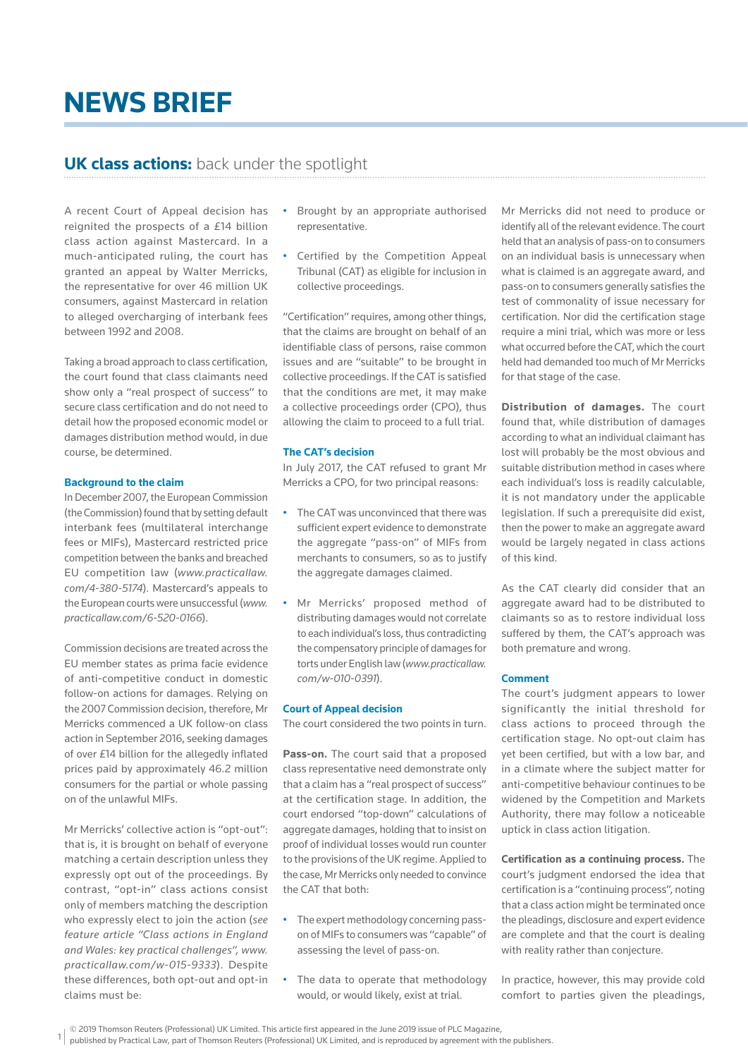# **NEWS BRIEF**

## **UK class actions:** back under the spotlight

A recent Court of Appeal decision has reignited the prospects of a £14 billion class action against Mastercard. In a much-anticipated ruling, the court has granted an appeal by Walter Merricks, the representative for over 46 million UK consumers, against Mastercard in relation to alleged overcharging of interbank fees between 1992 and 2008.

Taking a broad approach to class certification, the court found that class claimants need show only a "real prospect of success" to secure class certification and do not need to detail how the proposed economic model or damages distribution method would, in due course, be determined.

### **Background to the claim**

In December 2007, the European Commission (the Commission) found that by setting default interbank fees (multilateral interchange fees or MIFs), Mastercard restricted price competition between the banks and breached EU competition law (*www.practicallaw. com/4-380-5174*). Mastercard's appeals to the European courts were unsuccessful (*www. practicallaw.com/6-520-0166*).

Commission decisions are treated across the EU member states as prima facie evidence of anti-competitive conduct in domestic follow-on actions for damages. Relying on the 2007 Commission decision, therefore, Mr Merricks commenced a UK follow-on class action in September 2016, seeking damages of over £14 billion for the allegedly inflated prices paid by approximately 46.2 million consumers for the partial or whole passing on of the unlawful MIFs.

Mr Merricks' collective action is "opt-out": that is, it is brought on behalf of everyone matching a certain description unless they expressly opt out of the proceedings. By contrast, "opt-in" class actions consist only of members matching the description who expressly elect to join the action (*see feature article "Class actions in England and Wales: key practical challenges", www. practicallaw.com/w-015-9333*). Despite these differences, both opt-out and opt-in claims must be:

- Brought by an appropriate authorised representative.
- Certified by the Competition Appeal Tribunal (CAT) as eligible for inclusion in collective proceedings.

"Certification" requires, among other things, that the claims are brought on behalf of an identifiable class of persons, raise common issues and are "suitable" to be brought in collective proceedings. If the CAT is satisfied that the conditions are met, it may make a collective proceedings order (CPO), thus allowing the claim to proceed to a full trial.

### **The CAT's decision**

In July 2017, the CAT refused to grant Mr Merricks a CPO, for two principal reasons:

- The CAT was unconvinced that there was sufficient expert evidence to demonstrate the aggregate "pass-on" of MIFs from merchants to consumers, so as to justify the aggregate damages claimed.
- Mr Merricks' proposed method of distributing damages would not correlate to each individual's loss, thus contradicting the compensatory principle of damages for torts under English law (*www.practicallaw. com/w-010-0391*).

#### **Court of Appeal decision**

The court considered the two points in turn.

**Pass-on.** The court said that a proposed class representative need demonstrate only that a claim has a "real prospect of success" at the certification stage. In addition, the court endorsed "top-down" calculations of aggregate damages, holding that to insist on proof of individual losses would run counter to the provisions of the UK regime. Applied to the case, Mr Merricks only needed to convince the CAT that both:

- The expert methodology concerning passon of MIFs to consumers was "capable" of assessing the level of pass-on.
- The data to operate that methodology would, or would likely, exist at trial.

Mr Merricks did not need to produce or identify all of the relevant evidence. The court held that an analysis of pass-on to consumers on an individual basis is unnecessary when what is claimed is an aggregate award, and pass-on to consumers generally satisfies the test of commonality of issue necessary for certification. Nor did the certification stage require a mini trial, which was more or less what occurred before the CAT, which the court held had demanded too much of Mr Merricks for that stage of the case.

**Distribution of damages.** The court found that, while distribution of damages according to what an individual claimant has lost will probably be the most obvious and suitable distribution method in cases where each individual's loss is readily calculable, it is not mandatory under the applicable legislation. If such a prerequisite did exist, then the power to make an aggregate award would be largely negated in class actions of this kind.

As the CAT clearly did consider that an aggregate award had to be distributed to claimants so as to restore individual loss suffered by them, the CAT's approach was both premature and wrong.

#### **Comment**

The court's judgment appears to lower significantly the initial threshold for class actions to proceed through the certification stage. No opt-out claim has yet been certified, but with a low bar, and in a climate where the subject matter for anti-competitive behaviour continues to be widened by the Competition and Markets Authority, there may follow a noticeable uptick in class action litigation.

**Certification as a continuing process.** The court's judgment endorsed the idea that certification is a "continuing process", noting that a class action might be terminated once the pleadings, disclosure and expert evidence are complete and that the court is dealing with reality rather than conjecture.

In practice, however, this may provide cold comfort to parties given the pleadings,

<sup>© 2019</sup> Thomson Reuters (Professional) UK Limited. This article first appeared in the June 2019 issue of PLC Magazine,

published by Practical Law, part of Thomson Reuters (Professional) UK Limited, and is reproduced by agreement with the publishers.